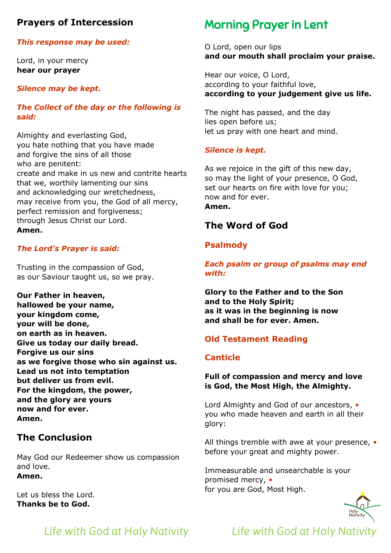# **Prayers of Intercession**

#### *This response may be used:*

Lord, in your mercy **hear our prayer**

#### *Silence may be kept.*

#### *The Collect of the day or the following is said:*

Almighty and everlasting God, you hate nothing that you have made and forgive the sins of all those who are penitent: create and make in us new and contrite hearts that we, worthily lamenting our sins and acknowledging our wretchedness, may receive from you, the God of all mercy, perfect remission and forgiveness; through Jesus Christ our Lord. **Amen.**

#### *The Lord's Prayer is said:*

Trusting in the compassion of God, as our Saviour taught us, so we pray.

**Our Father in heaven, hallowed be your name, your kingdom come, your will be done, on earth as in heaven. Give us today our daily bread. Forgive us our sins as we forgive those who sin against us. Lead us not into temptation but deliver us from evil. For the kingdom, the power, and the glory are yours now and for ever. Amen.**

# **The Conclusion**

May God our Redeemer show us compassion and love. **Amen.**

Let us bless the Lord. **Thanks be to God.**

# Morning Prayer in Lent

O Lord, open our lips **and our mouth shall proclaim your praise.**

Hear our voice, O Lord, according to your faithful love, **according to your judgement give us life.**

The night has passed, and the day lies open before us; let us pray with one heart and mind.

#### *Silence is kept.*

As we rejoice in the gift of this new day, so may the light of your presence, O God, set our hearts on fire with love for you; now and for ever. **Amen.**

# **The Word of God**

# **Psalmody**

*Each psalm or group of psalms may end with:*

**Glory to the Father and to the Son and to the Holy Spirit; as it was in the beginning is now and shall be for ever. Amen.** 

# **Old Testament Reading**

#### **Canticle**

#### **Full of compassion and mercy and love is God, the Most High, the Almighty.**

Lord Almighty and God of our ancestors, *•* you who made heaven and earth in all their glory:

All things tremble with awe at your presence, *•* before your great and mighty power.

Immeasurable and unsearchable is your promised mercy, *•* for you are God, Most High.



# *Life with God at Holy Nativity Life with God at Holy Nativity*